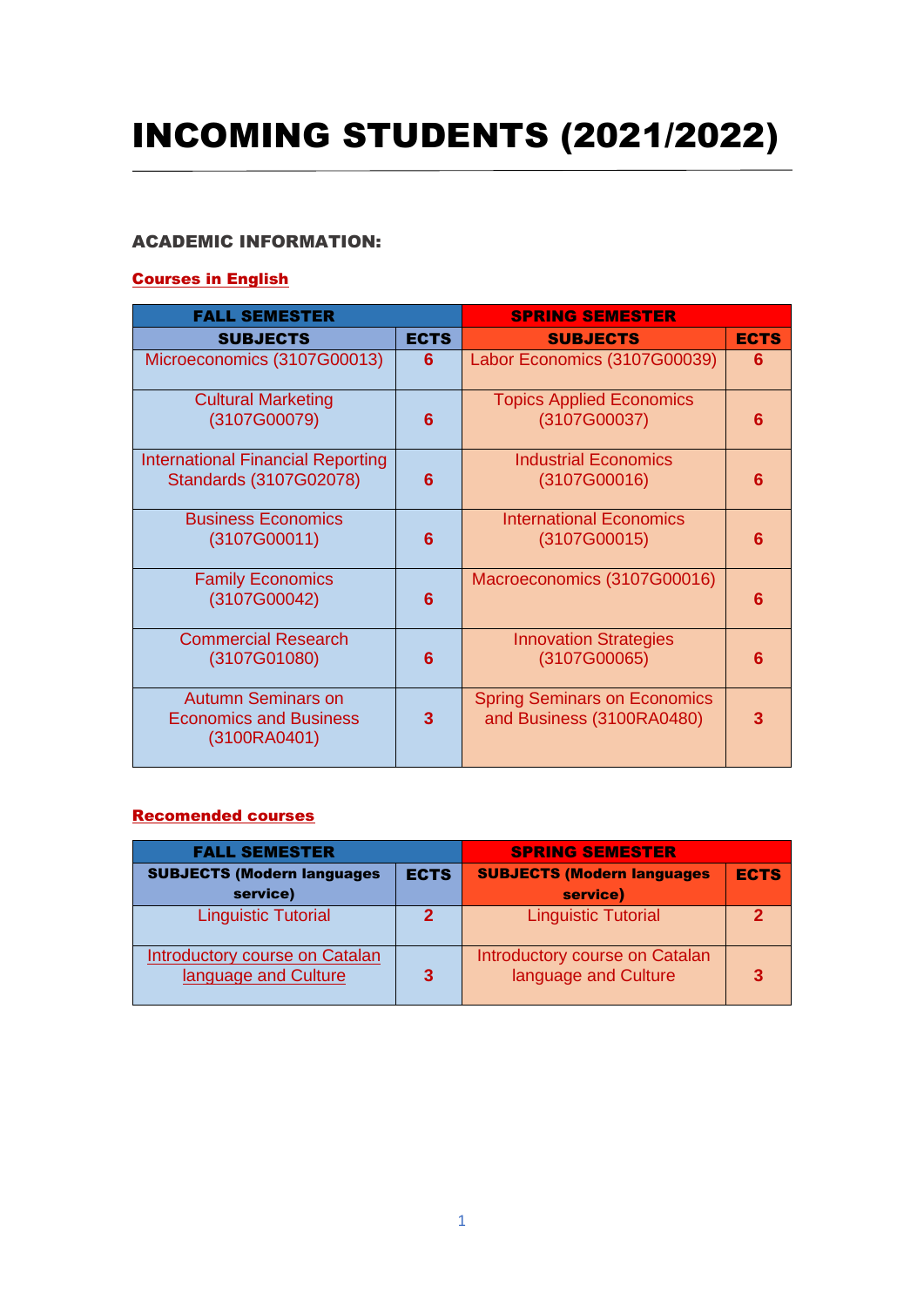# INCOMING STUDENTS (2021/2022)

### ACADEMIC INFORMATION:

#### Courses in English

| <b>FALL SEMESTER</b>                                                       |             | <b>SPRING SEMESTER</b>                                           |             |
|----------------------------------------------------------------------------|-------------|------------------------------------------------------------------|-------------|
| <b>SUBJECTS</b>                                                            | <b>ECTS</b> | <b>SUBJECTS</b>                                                  | <b>ECTS</b> |
| Microeconomics (3107G00013)                                                | 6           | Labor Economics (3107G00039)                                     | 6           |
| <b>Cultural Marketing</b><br>(3107G00079)                                  | 6           | <b>Topics Applied Economics</b><br>(3107G00037)                  | 6           |
| International Financial Reporting<br>Standards (3107G02078)                | 6           | <b>Industrial Economics</b><br>(3107G00016)                      | 6           |
| <b>Business Economics</b><br>(3107G00011)                                  | 6           | <b>International Economics</b><br>(3107G00015)                   | 6           |
| <b>Family Economics</b><br>(3107G00042)                                    | 6           | Macroeconomics (3107G00016)                                      | 6           |
| <b>Commercial Research</b><br>(3107G01080)                                 | 6           | <b>Innovation Strategies</b><br>(3107G00065)                     | ุค          |
| <b>Autumn Seminars on</b><br><b>Economics and Business</b><br>(3100RA0401) | 3           | <b>Spring Seminars on Economics</b><br>and Business (3100RA0480) |             |

#### Recomended courses

| <b>FALL SEMESTER</b>                                          |             | <b>SPRING SEMESTER</b>                                 |             |
|---------------------------------------------------------------|-------------|--------------------------------------------------------|-------------|
| <b>SUBJECTS (Modern languages)</b>                            | <b>ECTS</b> | <b>SUBJECTS (Modern languages</b>                      | <b>ECTS</b> |
| service)                                                      |             | service)                                               |             |
| <b>Linguistic Tutorial</b>                                    |             | <b>Linguistic Tutorial</b>                             | ゥ           |
| <b>Introductory course on Catalan</b><br>language and Culture | 3           | Introductory course on Catalan<br>language and Culture |             |